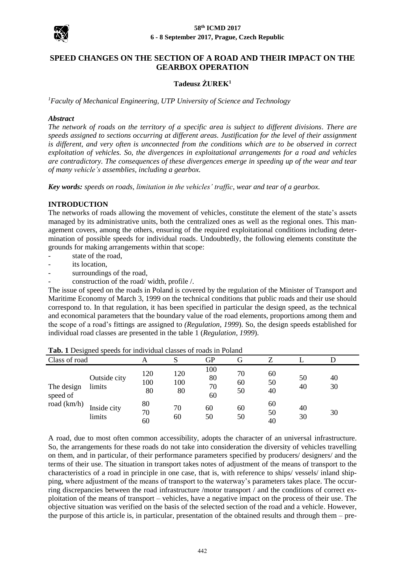

# **SPEED CHANGES ON THE SECTION OF A ROAD AND THEIR IMPACT ON THE GEARBOX OPERATION**

## **Tadeusz ŻUREK<sup>1</sup>**

*<sup>1</sup>Faculty of Mechanical Engineering, UTP University of Science and Technology*

#### *Abstract*

*The network of roads on the territory of a specific area is subject to different divisions. There are speeds assigned to sections occurring at different areas. Justification for the level of their assignment is different, and very often is unconnected from the conditions which are to be observed in correct exploitation of vehicles. So, the divergences in exploitational arrangements for a road and vehicles are contradictory. The consequences of these divergences emerge in speeding up of the wear and tear of many vehicle's assemblies, including a gearbox.*

*Key words: speeds on roads, limitation in the vehicles' traffic, wear and tear of a gearbox.*

### **INTRODUCTION**

The networks of roads allowing the movement of vehicles, constitute the element of the state's assets managed by its administrative units, both the centralized ones as well as the regional ones. This management covers, among the others, ensuring of the required exploitational conditions including determination of possible speeds for individual roads. Undoubtedly, the following elements constitute the grounds for making arrangements within that scope:

- state of the road.
- its location,
- surroundings of the road,
- construction of the road/ width, profile /.

The issue of speed on the roads in Poland is covered by the regulation of the Minister of Transport and Maritime Economy of March 3, 1999 on the technical conditions that public roads and their use should correspond to. In that regulation, it has been specified in particular the design speed, as the technical and economical parameters that the boundary value of the road elements, proportions among them and the scope of a road's fittings are assigned to *(Regulation, 1999*). So, the design speeds established for individual road classes are presented in the table 1 (*Regulation, 1999*).

| -0                                      |                        |                  |                  |                       |                |                |          |          |
|-----------------------------------------|------------------------|------------------|------------------|-----------------------|----------------|----------------|----------|----------|
| Class of road                           |                        |                  |                  | GP                    | G              |                |          |          |
| The design<br>speed of<br>road $(km/h)$ | Outside city<br>limits | 120<br>100<br>80 | 120<br>100<br>80 | 100<br>80<br>70<br>60 | 70<br>60<br>50 | 60<br>50<br>40 | 50<br>40 | 40<br>30 |
|                                         | Inside city<br>limits  | 80<br>70<br>60   | 70<br>60         | 60<br>50              | 60<br>50       | 60<br>50<br>40 | 40<br>30 | 30       |

**Tab. 1** Designed speeds for individual classes of roads in Poland

A road, due to most often common accessibility, adopts the character of an universal infrastructure. So, the arrangements for these roads do not take into consideration the diversity of vehicles travelling on them, and in particular, of their performance parameters specified by producers/ designers/ and the terms of their use. The situation in transport takes notes of adjustment of the means of transport to the characteristics of a road in principle in one case, that is, with reference to ships/ vessels/ inland shipping, where adjustment of the means of transport to the waterway's parameters takes place. The occurring discrepancies between the road infrastructure /motor transport / and the conditions of correct exploitation of the means of transport – vehicles, have a negative impact on the process of their use. The objective situation was verified on the basis of the selected section of the road and a vehicle. However, the purpose of this article is, in particular, presentation of the obtained results and through them – pre-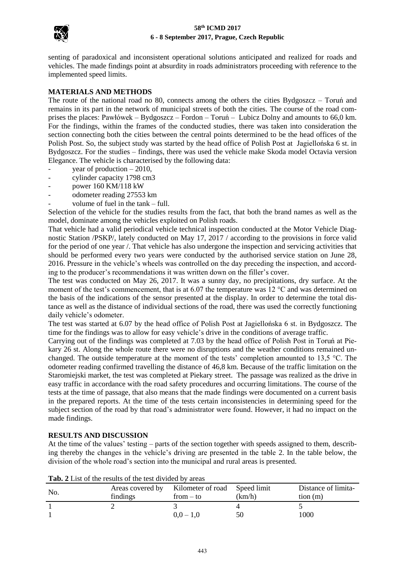

senting of paradoxical and inconsistent operational solutions anticipated and realized for roads and vehicles. The made findings point at absurdity in roads administrators proceeding with reference to the implemented speed limits.

# **MATERIALS AND METHODS**

The route of the national road no 80, connects among the others the cities Bydgoszcz – Toruń and remains in its part in the network of municipal streets of both the cities. The course of the road comprises the places: Pawłówek – Bydgoszcz – Fordon – Toruń – Lubicz Dolny and amounts to 66,0 km. For the findings, within the frames of the conducted studies, there was taken into consideration the section connecting both the cities between the central points determined to be the head offices of the Polish Post. So, the subject study was started by the head office of Polish Post at Jagiellońska 6 st. in Bydgoszcz. For the studies – findings, there was used the vehicle make Skoda model Octavia version Elegance. The vehicle is characterised by the following data:

- year of production  $-2010$ ,
- cylinder capacity 1798 cm3
- power 160 KM/118 kW
- odometer reading 27553 km
- volume of fuel in the tank full.

Selection of the vehicle for the studies results from the fact, that both the brand names as well as the model, dominate among the vehicles exploited on Polish roads.

That vehicle had a valid periodical vehicle technical inspection conducted at the Motor Vehicle Diagnostic Station /PSKP/, lately conducted on May 17, 2017 / according to the provisions in force valid for the period of one year /. That vehicle has also undergone the inspection and servicing activities that should be performed every two years were conducted by the authorised service station on June 28, 2016. Pressure in the vehicle's wheels was controlled on the day preceding the inspection, and according to the producer's recommendations it was written down on the filler's cover.

The test was conducted on May 26, 2017. It was a sunny day, no precipitations, dry surface. At the moment of the test's commencement, that is at 6.07 the temperature was 12 °C and was determined on the basis of the indications of the sensor presented at the display. In order to determine the total distance as well as the distance of individual sections of the road, there was used the correctly functioning daily vehicle's odometer.

The test was started at 6.07 by the head office of Polish Post at Jagiellońska 6 st. in Bydgoszcz. The time for the findings was to allow for easy vehicle's drive in the conditions of average traffic.

Carrying out of the findings was completed at 7.03 by the head office of Polish Post in Toruń at Piekary 26 st. Along the whole route there were no disruptions and the weather conditions remained unchanged. The outside temperature at the moment of the tests' completion amounted to 13,5 °C. The odometer reading confirmed travelling the distance of 46,8 km. Because of the traffic limitation on the Staromiejski market, the test was completed at Piekary street. The passage was realized as the drive in easy traffic in accordance with the road safety procedures and occurring limitations. The course of the tests at the time of passage, that also means that the made findings were documented on a current basis in the prepared reports. At the time of the tests certain inconsistencies in determining speed for the subject section of the road by that road's administrator were found. However, it had no impact on the made findings.

### **RESULTS AND DISCUSSION**

At the time of the values' testing – parts of the section together with speeds assigned to them, describing thereby the changes in the vehicle's driving are presented in the table 2. In the table below, the division of the whole road's section into the municipal and rural areas is presented.

| No. |          | Areas covered by Kilometer of road Speed limit |        | Distance of limita- |
|-----|----------|------------------------------------------------|--------|---------------------|
|     | findings | $from - to$                                    | (km/h) | tion(m)             |
|     |          |                                                |        |                     |
|     |          | $0.0 - 1.0$                                    | 50     | 1000                |

**Tab. 2** List of the results of the test divided by areas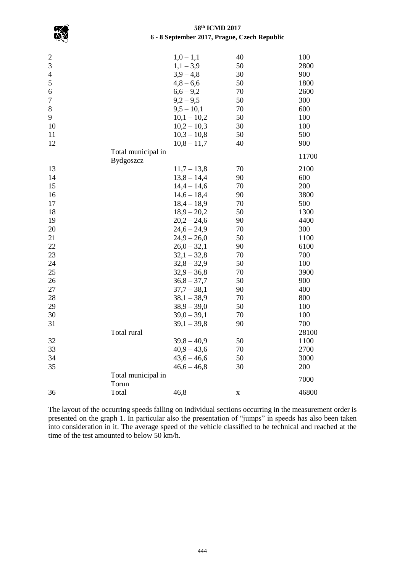

| $\overline{\mathbf{c}}$ |                    | $1,0-1,1$     | 40 | 100   |
|-------------------------|--------------------|---------------|----|-------|
| 3                       |                    | $1,1-3,9$     | 50 | 2800  |
| $\overline{4}$          |                    | $3,9-4,8$     | 30 | 900   |
| 5                       |                    | $4,8 - 6,6$   | 50 | 1800  |
| 6                       |                    | $6,6 - 9,2$   | 70 | 2600  |
| 7                       |                    | $9,2 - 9,5$   | 50 | 300   |
| $8\,$                   |                    | $9,5 - 10,1$  | 70 | 600   |
| 9                       |                    | $10,1 - 10,2$ | 50 | 100   |
| 10                      |                    | $10,2 - 10,3$ | 30 | 100   |
| 11                      |                    | $10,3 - 10,8$ | 50 | 500   |
| 12                      |                    | $10,8 - 11,7$ | 40 | 900   |
|                         | Total municipal in |               |    |       |
|                         | Bydgoszcz          |               |    | 11700 |
| 13                      |                    | $11,7 - 13,8$ | 70 | 2100  |
| 14                      |                    | $13,8 - 14,4$ | 90 | 600   |
| 15                      |                    | $14,4 - 14,6$ | 70 | 200   |
| 16                      |                    | $14,6 - 18,4$ | 90 | 3800  |
| 17                      |                    | $18,4 - 18,9$ | 70 | 500   |
| 18                      |                    | $18,9 - 20,2$ | 50 | 1300  |
| 19                      |                    | $20,2 - 24,6$ | 90 | 4400  |
| 20                      |                    | $24,6 - 24,9$ | 70 | 300   |
| 21                      |                    | $24,9 - 26,0$ | 50 | 1100  |
| 22                      |                    | $26,0-32,1$   | 90 | 6100  |
| 23                      |                    | $32,1 - 32,8$ | 70 | 700   |
| 24                      |                    | $32,8 - 32,9$ | 50 | 100   |
| 25                      |                    | $32,9 - 36,8$ | 70 | 3900  |
| 26                      |                    | $36,8 - 37,7$ | 50 | 900   |
| 27                      |                    | $37,7 - 38,1$ | 90 | 400   |
| 28                      |                    | $38,1 - 38,9$ | 70 | 800   |
| 29                      |                    | $38,9 - 39,0$ | 50 | 100   |
| 30                      |                    | $39,0 - 39,1$ | 70 | 100   |
| 31                      |                    | $39,1 - 39,8$ | 90 | 700   |
|                         | Total rural        |               |    | 28100 |
| 32                      |                    | $39,8 - 40,9$ | 50 | 1100  |
| 33                      |                    | $40,9 - 43,6$ | 70 | 2700  |
| 34                      |                    | $43,6 - 46,6$ | 50 | 3000  |
| 35                      |                    | $46,6 - 46,8$ | 30 | 200   |
|                         | Total municipal in |               |    | 7000  |
|                         | Torun              |               |    |       |
| 36                      | Total              | 46,8          | X  | 46800 |
|                         |                    |               |    |       |

The layout of the occurring speeds falling on individual sections occurring in the measurement order is presented on the graph 1. In particular also the presentation of "jumps" in speeds has also been taken into consideration in it. The average speed of the vehicle classified to be technical and reached at the time of the test amounted to below 50 km/h.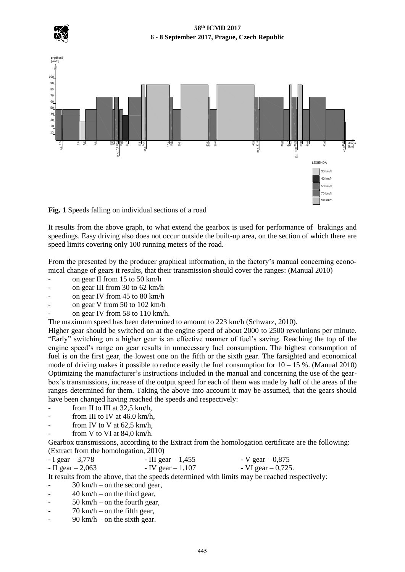

prędkość

### **58th ICMD 2017 6 - 8 September 2017, Prague, Czech Republic**



**Fig. 1** Speeds falling on individual sections of a road

It results from the above graph, to what extend the gearbox is used for performance of brakings and speedings. Easy driving also does not occur outside the built-up area, on the section of which there are speed limits covering only 100 running meters of the road.

From the presented by the producer graphical information, in the factory's manual concerning economical change of gears it results, that their transmission should cover the ranges: (Manual 2010)

- on gear II from 15 to 50 km/h
- on gear III from 30 to 62 km/h
- on gear IV from 45 to 80 km/h
- on gear V from 50 to 102 km/h
- on gear IV from 58 to 110 km/h.

The maximum speed has been determined to amount to 223 km/h (Schwarz, 2010).

Higher gear should be switched on at the engine speed of about 2000 to 2500 revolutions per minute. "Early" switching on a higher gear is an effective manner of fuel's saving. Reaching the top of the engine speed's range on gear results in unnecessary fuel consumption. The highest consumption of fuel is on the first gear, the lowest one on the fifth or the sixth gear. The farsighted and economical mode of driving makes it possible to reduce easily the fuel consumption for  $10 - 15$  %. (Manual 2010) Optimizing the manufacturer's instructions included in the manual and concerning the use of the gearbox's transmissions, increase of the output speed for each of them was made by half of the areas of the ranges determined for them. Taking the above into account it may be assumed, that the gears should have been changed having reached the speeds and respectively:

- from II to III at  $32.5 \text{ km/h}$ ,
- from III to IV at  $46.0 \text{ km/h}$ .
- from IV to V at  $62.5$  km/h,
- from V to VI at  $84.0 \text{ km/h}$ .

Gearbox transmissions, according to the Extract from the homologation certificate are the following: (Extract from the homologation, 2010)

| $-I$ gear $-3,778$   | - III gear $-1,455$  | $-V$ gear $-0.875$    |
|----------------------|----------------------|-----------------------|
| $-$ II gear $-2,063$ | $-$ IV gear $-1,107$ | $-VI$ gear $-0,725$ . |

It results from the above, that the speeds determined with limits may be reached respectively:

- 30 km/h on the second gear,
- $-$  40 km/h on the third gear,
- $-$  50 km/h on the fourth gear,
- $70 \text{ km/h}$  on the fifth gear,
- $90 \text{ km/h}$  on the sixth gear.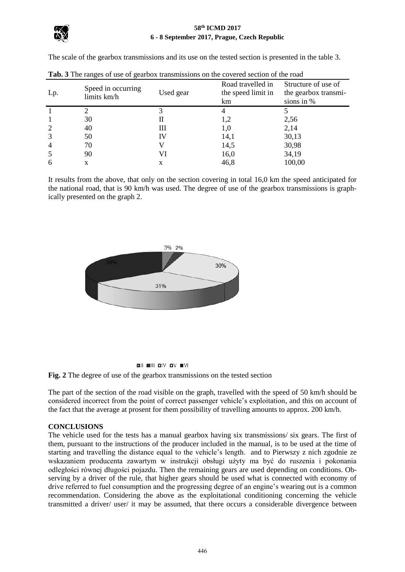

The scale of the gearbox transmissions and its use on the tested section is presented in the table 3.

| Lp.            | Speed in occurring<br>limits km/h | Used gear | Road travelled in<br>the speed limit in<br>km | Structure of use of<br>the gearbox transmi-<br>sions in % |
|----------------|-----------------------------------|-----------|-----------------------------------------------|-----------------------------------------------------------|
|                |                                   |           |                                               |                                                           |
|                | 30                                | П         | 1,2                                           | 2,56                                                      |
| 2              | 40                                | Ш         | 1,0                                           | 2,14                                                      |
| 3              | 50                                | IV        | 14,1                                          | 30,13                                                     |
| $\overline{4}$ | 70                                |           | 14,5                                          | 30,98                                                     |
|                | 90                                | VI        | 16,0                                          | 34,19                                                     |
| 6              | X                                 | X         | 46,8                                          | 100,00                                                    |

**Tab. 3** The ranges of use of gearbox transmissions on the covered section of the road

It results from the above, that only on the section covering in total 16,0 km the speed anticipated for the national road, that is 90 km/h was used. The degree of use of the gearbox transmissions is graphically presented on the graph 2.







The part of the section of the road visible on the graph, travelled with the speed of 50 km/h should be considered incorrect from the point of correct passenger vehicle's exploitation, and this on account of the fact that the average at prosent for them possibility of travelling amounts to approx. 200 km/h.

# **CONCLUSIONS**

The vehicle used for the tests has a manual gearbox having six transmissions/ six gears. The first of them, pursuant to the instructions of the producer included in the manual, is to be used at the time of starting and travelling the distance equal to the vehicle's length. and to Pierwszy z nich zgodnie ze wskazaniem producenta zawartym w instrukcji obsługi użyty ma być do ruszenia i pokonania odległości równej długości pojazdu. Then the remaining gears are used depending on conditions. Observing by a driver of the rule, that higher gears should be used what is connected with economy of drive referred to fuel consumption and the progressing degree of an engine's wearing out is a common recommendation. Considering the above as the exploitational conditioning concerning the vehicle transmitted a driver/ user/ it may be assumed, that there occurs a considerable divergence between